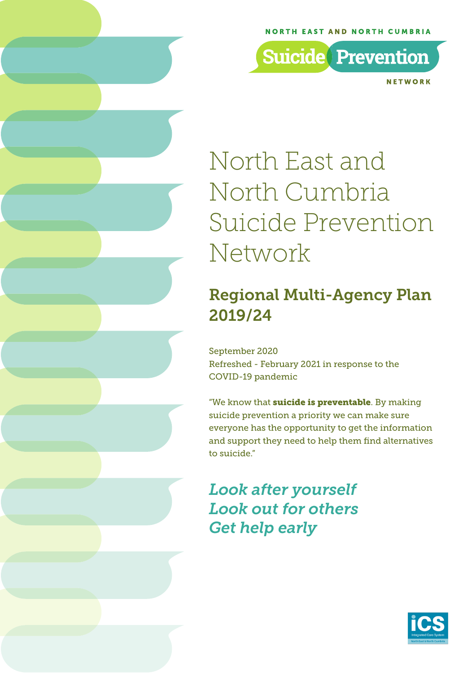### **NORTH EAST AND NORTH CUMBRIA**

**Suicide** Prevention

NFTWORK

# North East and North Cumbria Suicide Prevention Network

### Regional Multi-Agency Plan 2019/24

September 2020 Refreshed - February 2021 in response to the COVID-19 pandemic

"We know that **suicide is preventable**. By making suicide prevention a priority we can make sure everyone has the opportunity to get the information and support they need to help them find alternatives to suicide."

*Look after yourself Look out for others Get help early* 

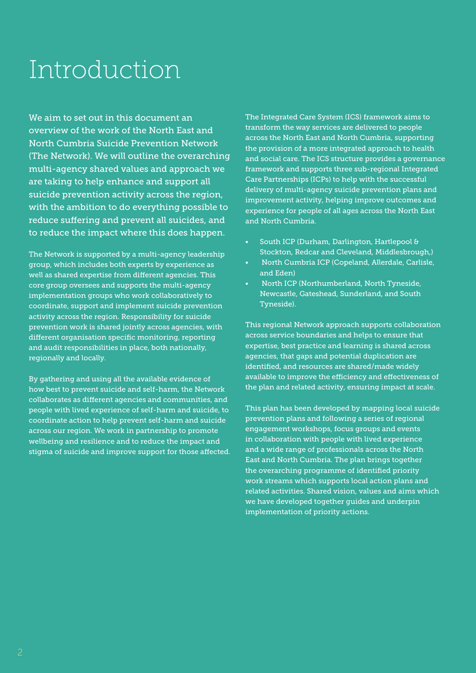# Introduction

We aim to set out in this document an overview of the work of the North East and North Cumbria Suicide Prevention Network (The Network). We will outline the overarching multi-agency shared values and approach we are taking to help enhance and support all suicide prevention activity across the region, with the ambition to do everything possible to reduce suffering and prevent all suicides, and to reduce the impact where this does happen.

The Network is supported by a multi-agency leadership group, which includes both experts by experience as well as shared expertise from different agencies. This core group oversees and supports the multi-agency implementation groups who work collaboratively to coordinate, support and implement suicide prevention activity across the region. Responsibility for suicide prevention work is shared jointly across agencies, with different organisation specific monitoring, reporting and audit responsibilities in place, both nationally, regionally and locally.

By gathering and using all the available evidence of how best to prevent suicide and self-harm, the Network collaborates as different agencies and communities, and people with lived experience of self-harm and suicide, to coordinate action to help prevent self-harm and suicide across our region. We work in partnership to promote wellbeing and resilience and to reduce the impact and stigma of suicide and improve support for those affected. The Integrated Care System (ICS) framework aims to transform the way services are delivered to people across the North East and North Cumbria, supporting the provision of a more integrated approach to health and social care. The ICS structure provides a governance framework and supports three sub-regional Integrated Care Partnerships (ICPs) to help with the successful delivery of multi-agency suicide prevention plans and improvement activity, helping improve outcomes and experience for people of all ages across the North East and North Cumbria.

- South ICP (Durham, Darlington, Hartlepool & Stockton, Redcar and Cleveland, Middlesbrough,)
- North Cumbria ICP (Copeland, Allerdale, Carlisle, and Eden)
- North ICP (Northumberland, North Tyneside, Newcastle, Gateshead, Sunderland, and South Tyneside).

This regional Network approach supports collaboration across service boundaries and helps to ensure that expertise, best practice and learning is shared across agencies, that gaps and potential duplication are identified, and resources are shared/made widely available to improve the efficiency and effectiveness of the plan and related activity, ensuring impact at scale.

This plan has been developed by mapping local suicide prevention plans and following a series of regional engagement workshops, focus groups and events in collaboration with people with lived experience and a wide range of professionals across the North East and North Cumbria. The plan brings together the overarching programme of identified priority work streams which supports local action plans and related activities. Shared vision, values and aims which we have developed together guides and underpin implementation of priority actions.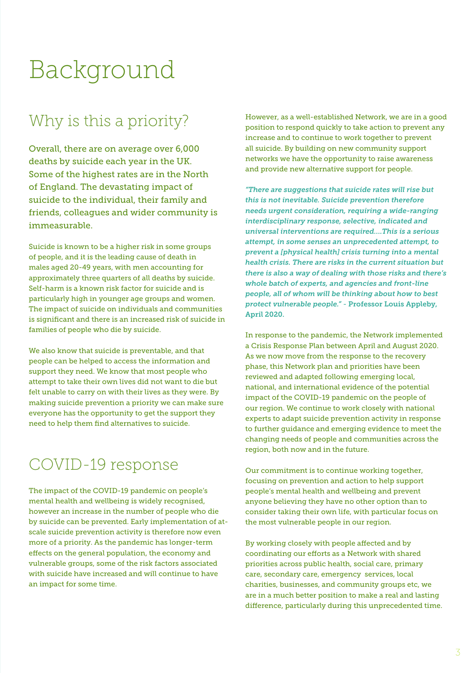# Background

### Why is this a priority?

Overall, there are on average over 6,000 deaths by suicide each year in the UK. Some of the highest rates are in the North of England. The devastating impact of suicide to the individual, their family and friends, colleagues and wider community is immeasurable.

Suicide is known to be a higher risk in some groups of people, and it is the leading cause of death in males aged 20-49 years, with men accounting for approximately three quarters of all deaths by suicide. Self-harm is a known risk factor for suicide and is particularly high in younger age groups and women. The impact of suicide on individuals and communities is significant and there is an increased risk of suicide in families of people who die by suicide.

We also know that suicide is preventable, and that people can be helped to access the information and support they need. We know that most people who attempt to take their own lives did not want to die but felt unable to carry on with their lives as they were. By making suicide prevention a priority we can make sure everyone has the opportunity to get the support they need to help them find alternatives to suicide.

### COVID-19 response

The impact of the COVID-19 pandemic on people's mental health and wellbeing is widely recognised, however an increase in the number of people who die by suicide can be prevented. Early implementation of atscale suicide prevention activity is therefore now even more of a priority. As the pandemic has longer-term effects on the general population, the economy and vulnerable groups, some of the risk factors associated with suicide have increased and will continue to have an impact for some time.

However, as a well-established Network, we are in a good position to respond quickly to take action to prevent any increase and to continue to work together to prevent all suicide. By building on new community support networks we have the opportunity to raise awareness and provide new alternative support for people.

*"There are suggestions that suicide rates will rise but this is not inevitable. Suicide prevention therefore needs urgent consideration, requiring a wide-ranging interdisciplinary response, selective, indicated and universal interventions are required….This is a serious attempt, in some senses an unprecedented attempt, to prevent a [physical health] crisis turning into a mental health crisis. There are risks in the current situation but there is also a way of dealing with those risks and there's whole batch of experts, and agencies and front-line people, all of whom will be thinking about how to best protect vulnerable people."* - Professor Louis Appleby, April 2020.

In response to the pandemic, the Network implemented a Crisis Response Plan between April and August 2020. As we now move from the response to the recovery phase, this Network plan and priorities have been reviewed and adapted following emerging local, national, and international evidence of the potential impact of the COVID-19 pandemic on the people of our region. We continue to work closely with national experts to adapt suicide prevention activity in response to further guidance and emerging evidence to meet the changing needs of people and communities across the region, both now and in the future.

Our commitment is to continue working together, focusing on prevention and action to help support people's mental health and wellbeing and prevent anyone believing they have no other option than to consider taking their own life, with particular focus on the most vulnerable people in our region.

By working closely with people affected and by coordinating our efforts as a Network with shared priorities across public health, social care, primary care, secondary care, emergency services, local charities, businesses, and community groups etc, we are in a much better position to make a real and lasting difference, particularly during this unprecedented time.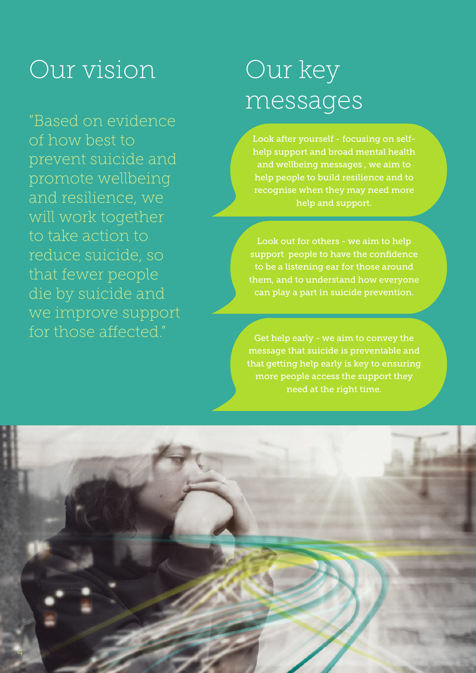# Our vision Our key

"Based on evidence of how best to prevent suicide and promote wellbeing and resilience, we will work together to take action to reduce suicide, so that fewer people die by suicide and we improve support for those affected."

# messages

Look after yourself - focusing on selfhelp support and broad mental health and wellbeing messages , we aim to help people to build resilience and to recognise when they may need more help and support.

l

Look out for others - we aim to help support people to have the confidence to be a listening ear for those around them, and to understand how everyone can play a part in suicide prevention.

Get help early - we aim to convey the message that suicide is preventable and that getting help early is key to ensuring more people access the support they need at the right time.

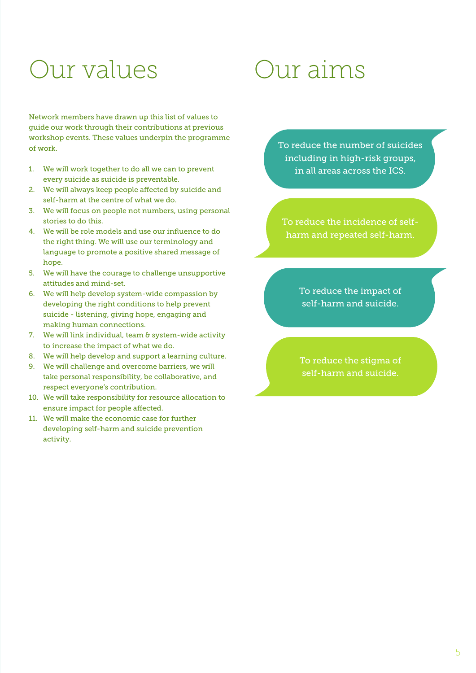# Our values

Network members have drawn up this list of values to guide our work through their contributions at previous workshop events. These values underpin the programme of work.

- 1. We will work together to do all we can to prevent every suicide as suicide is preventable.
- 2. We will always keep people affected by suicide and self-harm at the centre of what we do.
- 3. We will focus on people not numbers, using personal stories to do this.
- 4. We will be role models and use our influence to do the right thing. We will use our terminology and language to promote a positive shared message of hope.
- 5. We will have the courage to challenge unsupportive attitudes and mind-set.
- 6. We will help develop system-wide compassion by developing the right conditions to help prevent suicide - listening, giving hope, engaging and making human connections.
- 7. We will link individual, team & system-wide activity to increase the impact of what we do.
- 8. We will help develop and support a learning culture.
- 9. We will challenge and overcome barriers, we will take personal responsibility, be collaborative, and respect everyone's contribution.
- 10. We will take responsibility for resource allocation to ensure impact for people affected.
- 11. We will make the economic case for further developing self-harm and suicide prevention activity.

# Our aims

To reduce the number of suicides including in high-risk groups, in all areas across the ICS.

To reduce the incidence of selfharm and repeated self-harm.

> To reduce the impact of self-harm and suicide.

> To reduce the stigma of self-harm and suicide.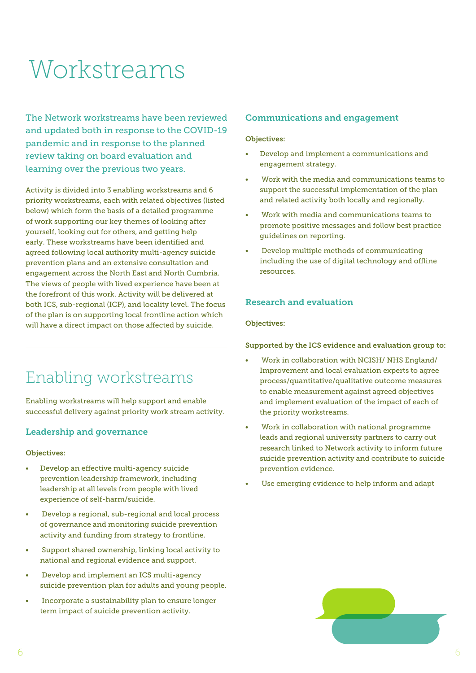# Workstreams

The Network workstreams have been reviewed and updated both in response to the COVID-19 pandemic and in response to the planned review taking on board evaluation and learning over the previous two years.

Activity is divided into 3 enabling workstreams and 6 priority workstreams, each with related objectives (listed below) which form the basis of a detailed programme of work supporting our key themes of looking after yourself, looking out for others, and getting help early. These workstreams have been identified and agreed following local authority multi-agency suicide prevention plans and an extensive consultation and engagement across the North East and North Cumbria. The views of people with lived experience have been at the forefront of this work. Activity will be delivered at both ICS, sub-regional (ICP), and locality level. The focus of the plan is on supporting local frontline action which will have a direct impact on those affected by suicide.

### Enabling workstreams

Enabling workstreams will help support and enable successful delivery against priority work stream activity.

### Leadership and governance

#### Objectives:

- Develop an effective multi-agency suicide prevention leadership framework, including leadership at all levels from people with lived experience of self-harm/suicide.
- Develop a regional, sub-regional and local process of governance and monitoring suicide prevention activity and funding from strategy to frontline.
- Support shared ownership, linking local activity to national and regional evidence and support.
- Develop and implement an ICS multi-agency suicide prevention plan for adults and young people.
- Incorporate a sustainability plan to ensure longer term impact of suicide prevention activity.

### Communications and engagement

### Objectives:

- Develop and implement a communications and engagement strategy.
- Work with the media and communications teams to support the successful implementation of the plan and related activity both locally and regionally.
- Work with media and communications teams to promote positive messages and follow best practice guidelines on reporting.
- Develop multiple methods of communicating including the use of digital technology and offline resources.

### Research and evaluation

### Objectives:

#### Supported by the ICS evidence and evaluation group to:

- Work in collaboration with NCISH/ NHS England/ Improvement and local evaluation experts to agree process/quantitative/qualitative outcome measures to enable measurement against agreed objectives and implement evaluation of the impact of each of the priority workstreams.
- Work in collaboration with national programme leads and regional university partners to carry out research linked to Network activity to inform future suicide prevention activity and contribute to suicide prevention evidence.
- Use emerging evidence to help inform and adapt

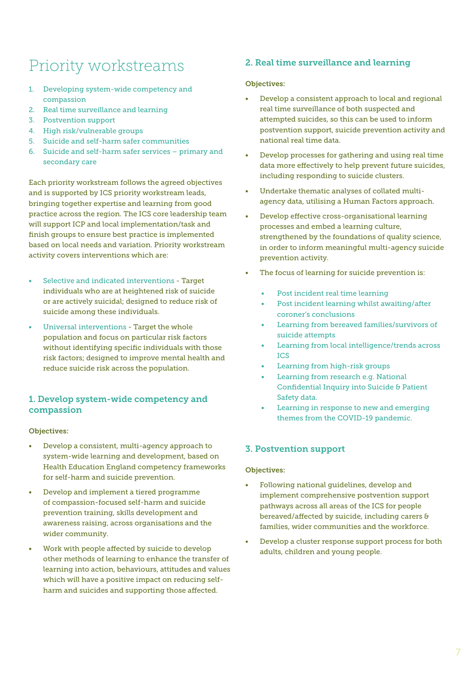### Priority workstreams

- 1. Developing system-wide competency and compassion
- 2. Real time surveillance and learning
- 3. Postvention support
- 4. High risk/vulnerable groups
- 5. Suicide and self-harm safer communities
- 6. Suicide and self-harm safer services primary and secondary care

Each priority workstream follows the agreed objectives and is supported by ICS priority workstream leads, bringing together expertise and learning from good practice across the region. The ICS core leadership team will support ICP and local implementation/task and finish groups to ensure best practice is implemented based on local needs and variation. Priority workstream activity covers interventions which are:

- Selective and indicated interventions Target individuals who are at heightened risk of suicide or are actively suicidal; designed to reduce risk of suicide among these individuals.
- Universal interventions Target the whole population and focus on particular risk factors without identifying specific individuals with those risk factors; designed to improve mental health and reduce suicide risk across the population.

### 1. Develop system-wide competency and compassion

### Objectives:

- Develop a consistent, multi-agency approach to system-wide learning and development, based on Health Education England competency frameworks for self-harm and suicide prevention.
- Develop and implement a tiered programme of compassion-focused self-harm and suicide prevention training, skills development and awareness raising, across organisations and the wider community.
- Work with people affected by suicide to develop other methods of learning to enhance the transfer of learning into action, behaviours, attitudes and values which will have a positive impact on reducing selfharm and suicides and supporting those affected.

### 2. Real time surveillance and learning

### Objectives:

- Develop a consistent approach to local and regional real time surveillance of both suspected and attempted suicides, so this can be used to inform postvention support, suicide prevention activity and national real time data.
- Develop processes for gathering and using real time data more effectively to help prevent future suicides, including responding to suicide clusters.
- Undertake thematic analyses of collated multiagency data, utilising a Human Factors approach.
- Develop effective cross-organisational learning processes and embed a learning culture, strengthened by the foundations of quality science, in order to inform meaningful multi-agency suicide prevention activity.
- The focus of learning for suicide prevention is:
	- Post incident real time learning
	- Post incident learning whilst awaiting/after coroner's conclusions
	- Learning from bereaved families/survivors of suicide attempts
	- Learning from local intelligence/trends across ICS
	- Learning from high-risk groups
	- Learning from research e.g. National Confidential Inquiry into Suicide & Patient Safety data.
	- Learning in response to new and emerging themes from the COVID-19 pandemic.

### 3. Postvention support

### Objectives:

- Following national guidelines, develop and implement comprehensive postvention support pathways across all areas of the ICS for people bereaved/affected by suicide, including carers & families, wider communities and the workforce.
- Develop a cluster response support process for both adults, children and young people.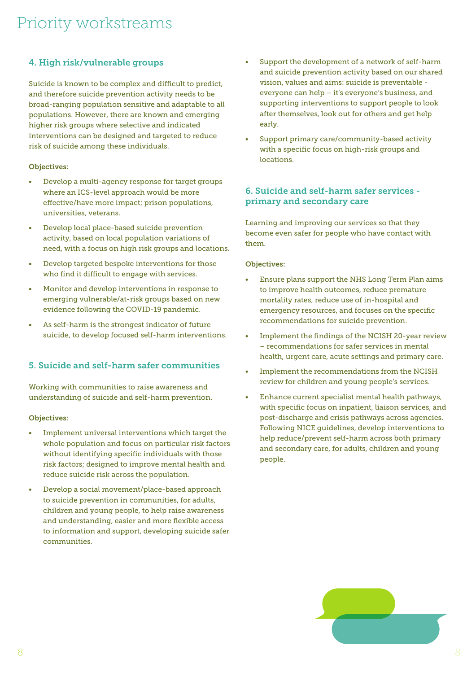### 4. High risk/vulnerable groups

Suicide is known to be complex and difficult to predict, and therefore suicide prevention activity needs to be broad-ranging population sensitive and adaptable to all populations. However, there are known and emerging higher risk groups where selective and indicated interventions can be designed and targeted to reduce risk of suicide among these individuals.

### Objectives:

- Develop a multi-agency response for target groups where an ICS-level approach would be more effective/have more impact; prison populations, universities, veterans.
- Develop local place-based suicide prevention activity, based on local population variations of need, with a focus on high risk groups and locations.
- Develop targeted bespoke interventions for those who find it difficult to engage with services.
- Monitor and develop interventions in response to emerging vulnerable/at-risk groups based on new evidence following the COVID-19 pandemic.
- As self-harm is the strongest indicator of future suicide, to develop focused self-harm interventions.

### 5. Suicide and self-harm safer communities

Working with communities to raise awareness and understanding of suicide and self-harm prevention.

#### Objectives:

- Implement universal interventions which target the whole population and focus on particular risk factors without identifying specific individuals with those risk factors; designed to improve mental health and reduce suicide risk across the population.
- Develop a social movement/place-based approach to suicide prevention in communities, for adults, children and young people, to help raise awareness and understanding, easier and more flexible access to information and support, developing suicide safer communities.
- Support the development of a network of self-harm and suicide prevention activity based on our shared vision, values and aims: suicide is preventable everyone can help – it's everyone's business, and supporting interventions to support people to look after themselves, look out for others and get help early.
- Support primary care/community-based activity with a specific focus on high-risk groups and locations.

### 6. Suicide and self-harm safer services primary and secondary care

Learning and improving our services so that they become even safer for people who have contact with them.

#### Objectives:

- Ensure plans support the NHS Long Term Plan aims to improve health outcomes, reduce premature mortality rates, reduce use of in-hospital and emergency resources, and focuses on the specific recommendations for suicide prevention.
- Implement the findings of the NCISH 20-year review – recommendations for safer services in mental health, urgent care, acute settings and primary care.
- Implement the recommendations from the NCISH review for children and young people's services.
- Enhance current specialist mental health pathways, with specific focus on inpatient, liaison services, and post-discharge and crisis pathways across agencies. Following NICE guidelines, develop interventions to help reduce/prevent self-harm across both primary and secondary care, for adults, children and young people.

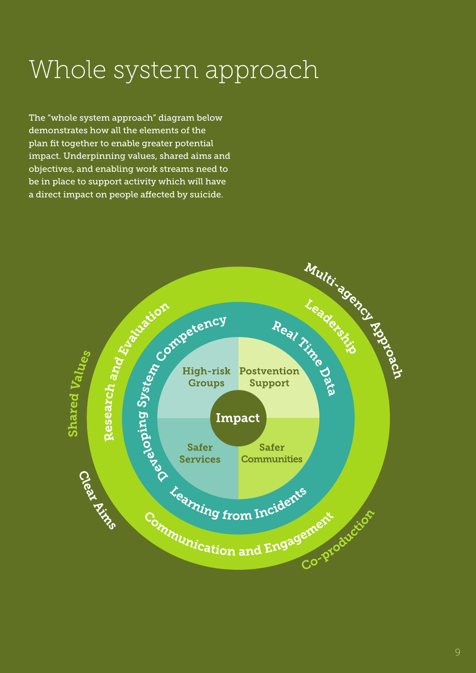# Whole system approach

The "whole system approach" diagram below demonstrates how all the elements of the plan fit together to enable greater potential impact. Underpinning values, shared aims and objectives, and enabling work streams need to be in place to support activity which will have a direct impact on people affected by suicide.